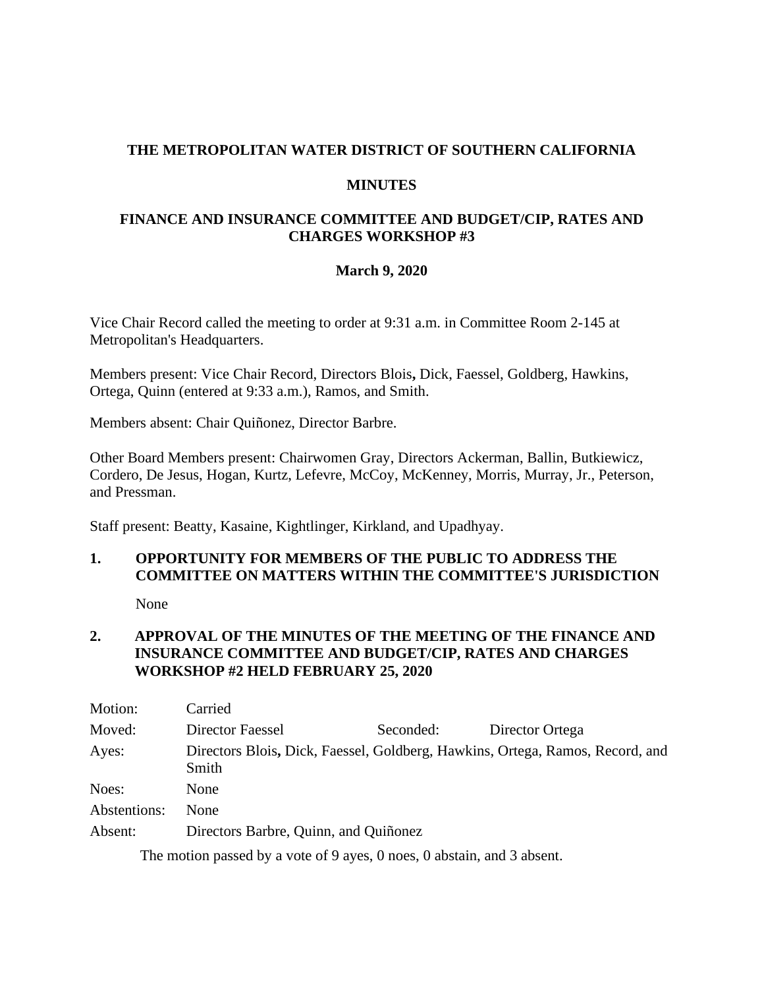## **THE METROPOLITAN WATER DISTRICT OF SOUTHERN CALIFORNIA**

#### **MINUTES**

## **FINANCE AND INSURANCE COMMITTEE AND BUDGET/CIP, RATES AND CHARGES WORKSHOP #3**

### **March 9, 2020**

Vice Chair Record called the meeting to order at 9:31 a.m. in Committee Room 2-145 at Metropolitan's Headquarters.

Members present: Vice Chair Record, Directors Blois**,** Dick, Faessel, Goldberg, Hawkins, Ortega, Quinn (entered at 9:33 a.m.), Ramos, and Smith.

Members absent: Chair Quiñonez, Director Barbre.

Other Board Members present: Chairwomen Gray, Directors Ackerman, Ballin, Butkiewicz, Cordero, De Jesus, Hogan, Kurtz, Lefevre, McCoy, McKenney, Morris, Murray, Jr., Peterson, and Pressman.

Staff present: Beatty, Kasaine, Kightlinger, Kirkland, and Upadhyay.

# **1. OPPORTUNITY FOR MEMBERS OF THE PUBLIC TO ADDRESS THE COMMITTEE ON MATTERS WITHIN THE COMMITTEE'S JURISDICTION**

None

## **2. APPROVAL OF THE MINUTES OF THE MEETING OF THE FINANCE AND INSURANCE COMMITTEE AND BUDGET/CIP, RATES AND CHARGES WORKSHOP #2 HELD FEBRUARY 25, 2020**

| Motion:      | Carried                                                                                |           |                 |
|--------------|----------------------------------------------------------------------------------------|-----------|-----------------|
| Moved:       | Director Faessel                                                                       | Seconded: | Director Ortega |
| Ayes:        | Directors Blois, Dick, Faessel, Goldberg, Hawkins, Ortega, Ramos, Record, and<br>Smith |           |                 |
| Noes:        | None                                                                                   |           |                 |
| Abstentions: | None                                                                                   |           |                 |
| Absent:      | Directors Barbre, Quinn, and Quiñonez                                                  |           |                 |

The motion passed by a vote of 9 ayes, 0 noes, 0 abstain, and 3 absent.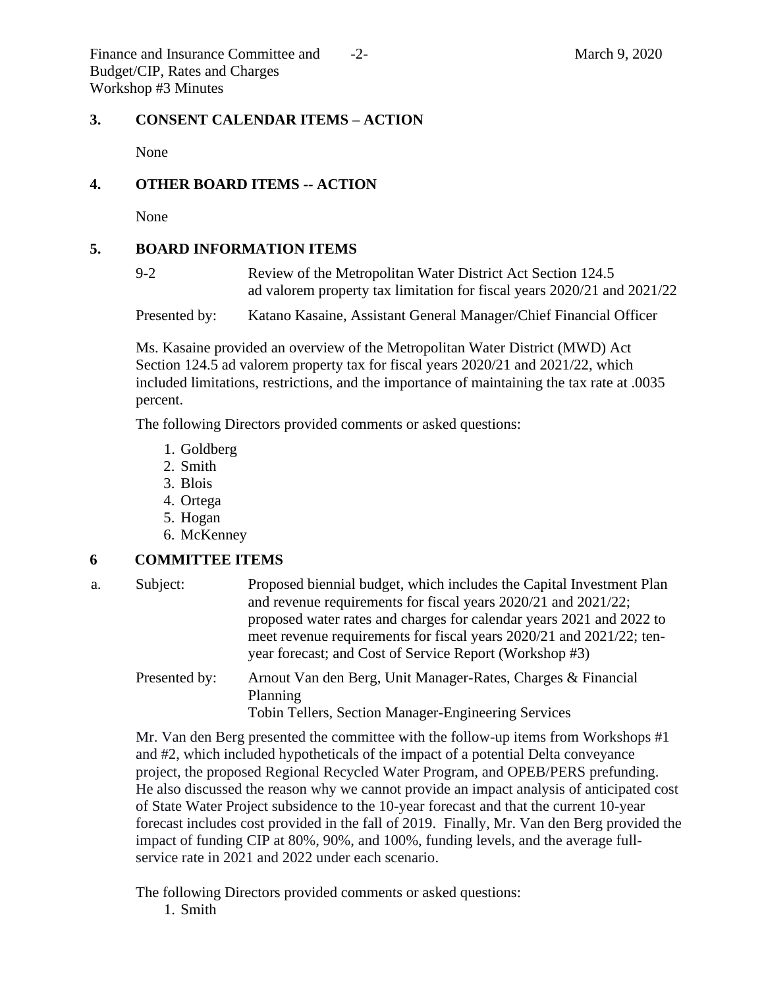Finance and Insurance Committee and  $\qquad$ -2- March 9, 2020 Budget/CIP, Rates and Charges Workshop #3 Minutes

#### **3. CONSENT CALENDAR ITEMS – ACTION**

None

### **4. OTHER BOARD ITEMS -- ACTION**

None

#### **5. BOARD INFORMATION ITEMS**

9-2 Review of the Metropolitan Water District Act Section 124.5 ad valorem property tax limitation for fiscal years 2020/21 and 2021/22

Presented by: Katano Kasaine, Assistant General Manager/Chief Financial Officer

Ms. Kasaine provided an overview of the Metropolitan Water District (MWD) Act Section 124.5 ad valorem property tax for fiscal years 2020/21 and 2021/22, which included limitations, restrictions, and the importance of maintaining the tax rate at .0035 percent.

The following Directors provided comments or asked questions:

- 1. Goldberg
- 2. Smith
- 3. Blois
- 4. Ortega
- 5. Hogan
- 6. McKenney

#### **6 COMMITTEE ITEMS**

- a. Subject: Proposed biennial budget, which includes the Capital Investment Plan and revenue requirements for fiscal years 2020/21 and 2021/22; proposed water rates and charges for calendar years 2021 and 2022 to meet revenue requirements for fiscal years 2020/21 and 2021/22; tenyear forecast; and Cost of Service Report (Workshop #3)
	- Presented by: Arnout Van den Berg, Unit Manager-Rates, Charges & Financial Planning

Tobin Tellers, Section Manager-Engineering Services

Mr. Van den Berg presented the committee with the follow-up items from Workshops #1 and #2, which included hypotheticals of the impact of a potential Delta conveyance project, the proposed Regional Recycled Water Program, and OPEB/PERS prefunding. He also discussed the reason why we cannot provide an impact analysis of anticipated cost of State Water Project subsidence to the 10-year forecast and that the current 10-year forecast includes cost provided in the fall of 2019. Finally, Mr. Van den Berg provided the impact of funding CIP at 80%, 90%, and 100%, funding levels, and the average fullservice rate in 2021 and 2022 under each scenario.

The following Directors provided comments or asked questions:

1. Smith